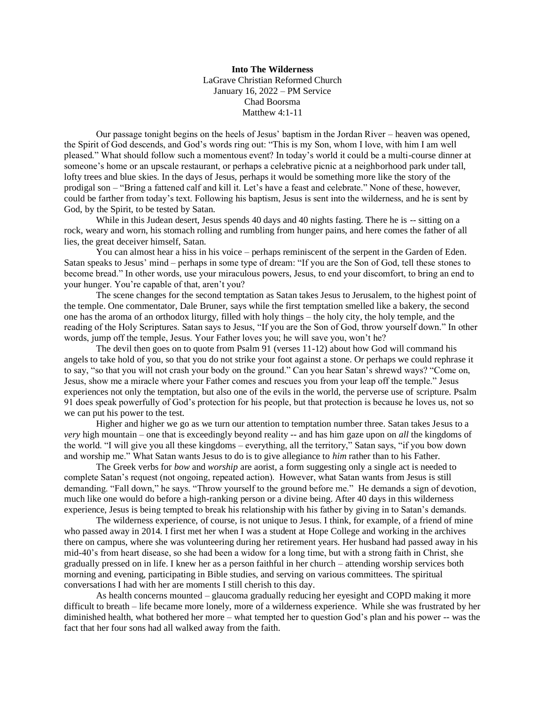**Into The Wilderness** LaGrave Christian Reformed Church January 16, 2022 – PM Service Chad Boorsma Matthew 4:1-11

Our passage tonight begins on the heels of Jesus' baptism in the Jordan River – heaven was opened, the Spirit of God descends, and God's words ring out: "This is my Son, whom I love, with him I am well pleased." What should follow such a momentous event? In today's world it could be a multi-course dinner at someone's home or an upscale restaurant, or perhaps a celebrative picnic at a neighborhood park under tall, lofty trees and blue skies. In the days of Jesus, perhaps it would be something more like the story of the prodigal son – "Bring a fattened calf and kill it. Let's have a feast and celebrate." None of these, however, could be farther from today's text. Following his baptism, Jesus is sent into the wilderness, and he is sent by God, by the Spirit, to be tested by Satan.

While in this Judean desert, Jesus spends 40 days and 40 nights fasting. There he is -- sitting on a rock, weary and worn, his stomach rolling and rumbling from hunger pains, and here comes the father of all lies, the great deceiver himself, Satan.

You can almost hear a hiss in his voice – perhaps reminiscent of the serpent in the Garden of Eden. Satan speaks to Jesus' mind – perhaps in some type of dream: "If you are the Son of God, tell these stones to become bread." In other words, use your miraculous powers, Jesus, to end your discomfort, to bring an end to your hunger. You're capable of that, aren't you?

The scene changes for the second temptation as Satan takes Jesus to Jerusalem, to the highest point of the temple. One commentator, Dale Bruner, says while the first temptation smelled like a bakery, the second one has the aroma of an orthodox liturgy, filled with holy things – the holy city, the holy temple, and the reading of the Holy Scriptures. Satan says to Jesus, "If you are the Son of God, throw yourself down." In other words, jump off the temple, Jesus. Your Father loves you; he will save you, won't he?

The devil then goes on to quote from Psalm 91 (verses 11-12) about how God will command his angels to take hold of you, so that you do not strike your foot against a stone. Or perhaps we could rephrase it to say, "so that you will not crash your body on the ground." Can you hear Satan's shrewd ways? "Come on, Jesus, show me a miracle where your Father comes and rescues you from your leap off the temple." Jesus experiences not only the temptation, but also one of the evils in the world, the perverse use of scripture. Psalm 91 does speak powerfully of God's protection for his people, but that protection is because he loves us, not so we can put his power to the test.

Higher and higher we go as we turn our attention to temptation number three. Satan takes Jesus to a *very* high mountain – one that is exceedingly beyond reality -- and has him gaze upon on *all* the kingdoms of the world. "I will give you all these kingdoms – everything, all the territory," Satan says, "if you bow down and worship me." What Satan wants Jesus to do is to give allegiance to *him* rather than to his Father.

The Greek verbs for *bow* and *worship* are aorist, a form suggesting only a single act is needed to complete Satan's request (not ongoing, repeated action). However, what Satan wants from Jesus is still demanding. "Fall down," he says. "Throw yourself to the ground before me." He demands a sign of devotion, much like one would do before a high-ranking person or a divine being. After 40 days in this wilderness experience, Jesus is being tempted to break his relationship with his father by giving in to Satan's demands.

The wilderness experience, of course, is not unique to Jesus. I think, for example, of a friend of mine who passed away in 2014. I first met her when I was a student at Hope College and working in the archives there on campus, where she was volunteering during her retirement years. Her husband had passed away in his mid-40's from heart disease, so she had been a widow for a long time, but with a strong faith in Christ, she gradually pressed on in life. I knew her as a person faithful in her church – attending worship services both morning and evening, participating in Bible studies, and serving on various committees. The spiritual conversations I had with her are moments I still cherish to this day.

As health concerns mounted – glaucoma gradually reducing her eyesight and COPD making it more difficult to breath – life became more lonely, more of a wilderness experience. While she was frustrated by her diminished health, what bothered her more – what tempted her to question God's plan and his power -- was the fact that her four sons had all walked away from the faith.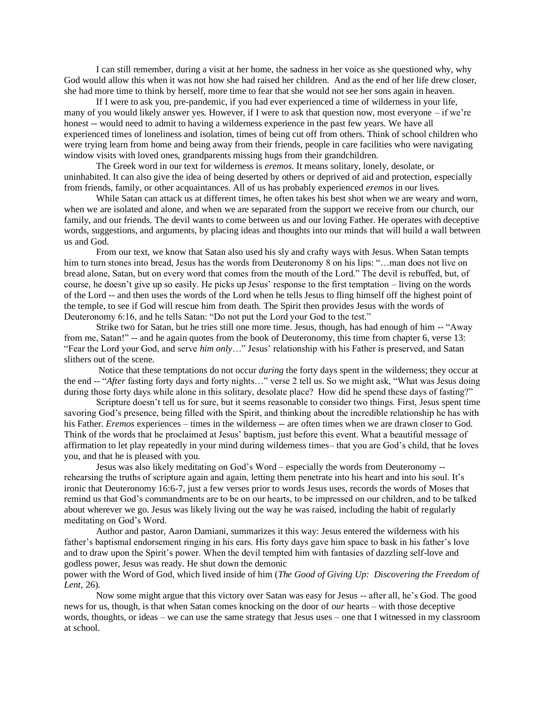I can still remember, during a visit at her home, the sadness in her voice as she questioned why, why God would allow this when it was not how she had raised her children. And as the end of her life drew closer, she had more time to think by herself, more time to fear that she would not see her sons again in heaven.

If I were to ask you, pre-pandemic, if you had ever experienced a time of wilderness in your life, many of you would likely answer yes. However, if I were to ask that question now, most everyone – if we're honest -- would need to admit to having a wilderness experience in the past few years. We have all experienced times of loneliness and isolation, times of being cut off from others. Think of school children who were trying learn from home and being away from their friends, people in care facilities who were navigating window visits with loved ones, grandparents missing hugs from their grandchildren.

The Greek word in our text for wilderness is *eremos*. It means solitary, lonely, desolate, or uninhabited. It can also give the idea of being deserted by others or deprived of aid and protection, especially from friends, family, or other acquaintances. All of us has probably experienced *eremos* in our lives.

While Satan can attack us at different times, he often takes his best shot when we are weary and worn, when we are isolated and alone, and when we are separated from the support we receive from our church, our family, and our friends. The devil wants to come between us and our loving Father. He operates with deceptive words, suggestions, and arguments, by placing ideas and thoughts into our minds that will build a wall between us and God.

From our text, we know that Satan also used his sly and crafty ways with Jesus. When Satan tempts him to turn stones into bread, Jesus has the words from Deuteronomy 8 on his lips: "...man does not live on bread alone, Satan, but on every word that comes from the mouth of the Lord." The devil is rebuffed, but, of course, he doesn't give up so easily. He picks up Jesus' response to the first temptation – living on the words of the Lord -- and then uses the words of the Lord when he tells Jesus to fling himself off the highest point of the temple, to see if God will rescue him from death. The Spirit then provides Jesus with the words of Deuteronomy 6:16, and he tells Satan: "Do not put the Lord your God to the test."

Strike two for Satan, but he tries still one more time. Jesus, though, has had enough of him -- "Away from me, Satan!" -- and he again quotes from the book of Deuteronomy, this time from chapter 6, verse 13: "Fear the Lord your God, and serve *him only*…" Jesus' relationship with his Father is preserved, and Satan slithers out of the scene.

Notice that these temptations do not occur *during* the forty days spent in the wilderness; they occur at the end -- "*After* fasting forty days and forty nights…" verse 2 tell us. So we might ask, "What was Jesus doing during those forty days while alone in this solitary, desolate place? How did he spend these days of fasting?"

Scripture doesn't tell us for sure, but it seems reasonable to consider two things. First, Jesus spent time savoring God's presence, being filled with the Spirit, and thinking about the incredible relationship he has with his Father. *Eremos* experiences – times in the wilderness -- are often times when we are drawn closer to God. Think of the words that he proclaimed at Jesus' baptism, just before this event. What a beautiful message of affirmation to let play repeatedly in your mind during wilderness times– that you are God's child, that he loves you, and that he is pleased with you.

Jesus was also likely meditating on God's Word – especially the words from Deuteronomy - rehearsing the truths of scripture again and again, letting them penetrate into his heart and into his soul. It's ironic that Deuteronomy 16:6-7, just a few verses prior to words Jesus uses, records the words of Moses that remind us that God's commandments are to be on our hearts, to be impressed on our children, and to be talked about wherever we go. Jesus was likely living out the way he was raised, including the habit of regularly meditating on God's Word.

Author and pastor, Aaron Damiani, summarizes it this way: Jesus entered the wilderness with his father's baptismal endorsement ringing in his ears. His forty days gave him space to bask in his father's love and to draw upon the Spirit's power. When the devil tempted him with fantasies of dazzling self-love and godless power, Jesus was ready. He shut down the demonic

power with the Word of God, which lived inside of him (*The Good of Giving Up: Discovering the Freedom of Lent,* 26).

Now some might argue that this victory over Satan was easy for Jesus -- after all, he's God. The good news for us, though, is that when Satan comes knocking on the door of *our* hearts – with those deceptive words, thoughts, or ideas – we can use the same strategy that Jesus uses – one that I witnessed in my classroom at school.